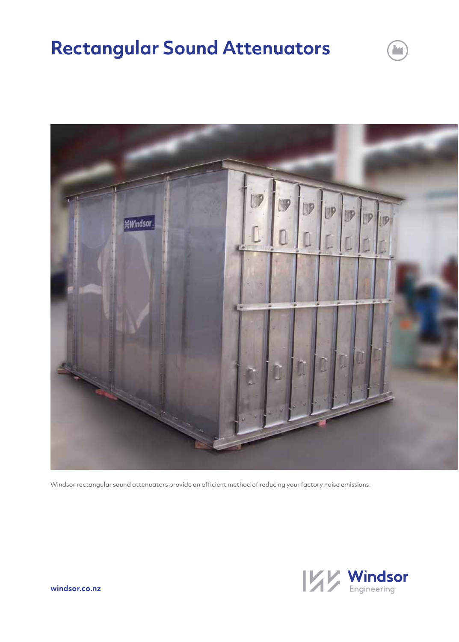# **Rectangular Sound Attenuators**



Windsor rectangular sound attenuators provide an efficient method of reducing your factory noise emissions.



ł.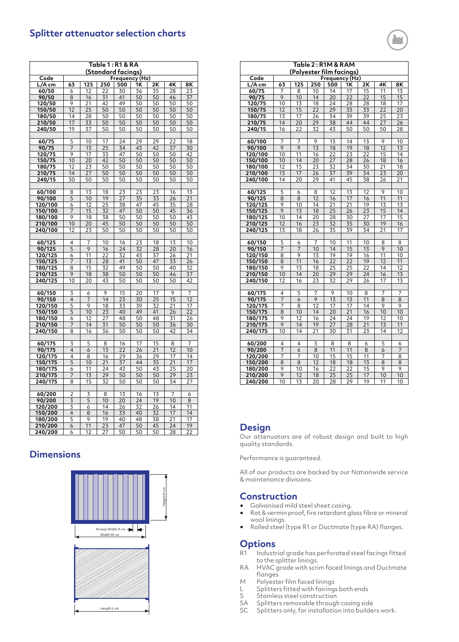## **Splitter attenuator selection charts**

| Table 1 : R1 & RA<br>(Standard facings) |                 |                 |                 |                             |          |                 |                 |          |
|-----------------------------------------|-----------------|-----------------|-----------------|-----------------------------|----------|-----------------|-----------------|----------|
|                                         |                 |                 |                 |                             |          |                 |                 |          |
| Code<br>L/A cm                          | 63              | 125             | 250             | Frequency (Hz)<br>500       | 1K       | 2K              | 4K              | 8Κ       |
| 60/50                                   | 6               | 12              | 22              | 30                          | 36       | 35              | 28              | 23       |
| 90/50                                   | 8               | 16              | 31              | 41                          | 50       | 50              | 46              | 37       |
| 120/50                                  |                 | 21              | 42              | 49                          | 50       | 50              | 50              | 50       |
| 150/50                                  | $\frac{9}{12}$  | $\overline{25}$ | 50              | 50                          | 50       | 50              | 50              | 50       |
| 180/50                                  | 14              | 28              | 50              | 50                          | 50       | 50              | 50              | 50       |
| 210/50                                  | 17              | 33              | 50              | 50                          | 50       | 50              | 50              | 50       |
| 240/50                                  | $\overline{19}$ | 37              | 50              | $\frac{50}{50}$             | 50       | 50              | 50              | 50       |
|                                         |                 |                 |                 |                             |          |                 |                 |          |
| 60/75                                   | 5               | 10              | $\overline{17}$ | 24                          | 29       | $\frac{29}{2}$  | 22              | 18       |
| 90/75                                   | 7               | 13              | 25              | 34                          | 43       | 42              | 37              | 30       |
| 120/75                                  | 9               | 17              | 33              | 47                          | 50       | 50              | 50              | 42       |
| 150/75                                  | $\overline{10}$ | 20              | 42              | 50                          | 50       | 50              | 50              | 50       |
| 180/75                                  | 12              | 23              | 50              | 50                          | 50       | 50              | 50              | 50       |
| 210/75                                  | 14              | 27              | 50              | 50                          | 50       | 50              | 50              | 50       |
| 240/15                                  | 30              | 50              | 50              | 50                          | 50       | 50              | 50              | 50       |
|                                         |                 |                 |                 |                             |          |                 |                 |          |
| 60/100                                  | 8               | 13<br>10        | 18<br>19        | 23<br>27                    | 23<br>35 | 23<br>33        | 16              | 13       |
| 90/100<br>120/100                       | 5<br>6          | 12              | 25              | 38                          | 47       | 45              | 26<br>35        | 21<br>28 |
| 150/100                                 | 7               | 15              | 32              | 47                          | 50       | $\overline{50}$ | 45              | 36       |
| 180/100                                 | 9               | 18              | 38              | 50                          | 50       | 50              | 50              | 43       |
| 210/100                                 | 10              | 20              | 45              | 50                          | 50       | 50              | 50              | 50       |
| 240/100                                 | 12              | 23              | 50              | 50                          | 50       | 50              | 50              | 50       |
|                                         |                 |                 |                 |                             |          |                 |                 |          |
| 60/125                                  | 4               | 7               | 10              | 16                          | 23       | 18              | 13              | 10       |
| 90/125                                  | 5               | 9               | 16              | 24                          | 32       | 28              | 20              | 16       |
| 120/125                                 | 6               | 11              | 22              | 32                          | 43       | 37              | 26              | 21       |
| 150/125                                 | 7               | 13              | 28              | 41                          | 50       | 47              | 33              | 26       |
| 180/125                                 | 8               | 15              | 32              | 49                          | 50       | 50              | $4\overline{0}$ | 32       |
| 210/125                                 | 9               | 18              | 38              | 50                          | 50       | 50              | 46              | 37       |
| 240/125                                 | 10              | 20              | 43              | 50                          | 50       | 50              | 50              | 42       |
| 60/150                                  | 3               | 6               | 9               | 15                          | 20       | 17              | 9               | 7        |
| 90/150                                  | 4               | $\overline{7}$  | 14              | 23                          | 30       | 25              | 15              | 12       |
| 120/150                                 | 5               | 9               | 18              | 33                          | 39       | 32              | 21              | 17       |
| 150/150                                 | $\overline{5}$  | 10              | 23              | 40                          | 49       | 41              | 26              | 22       |
| 180/150                                 | 6               | 12              | 27              | 48                          | 50       | 48              | 31              | 26       |
| 210/150                                 | 7               | 14              | 31              | 50                          | 50       | 50              | 36              | 30       |
| <u>240/150</u>                          | 8               | 16              | 36              | 50                          | 50       | 50              | 42              | 34       |
|                                         |                 |                 |                 |                             |          |                 |                 |          |
| 60/175                                  | 3               | 5               | 8               | 16                          | 17       | 15              | 8               | 7        |
| 90/175                                  | 4               | 6               | 13              | 22                          | 26       | 21              | 12              | 10       |
| 120/175                                 | 4               | 8               | 16              | 29                          | 36       | 29              | 17              | 14       |
| 150/175<br>180/175                      | 5               | 10<br>11        | 21<br>24        | 37<br>43                    | 44<br>50 | 35<br>43        | 21<br>25        | 17<br>20 |
| 210/175                                 | 6<br>7          | 13              | 29              | 50                          | 50       | 50              | 29              | 23       |
| 240/175                                 | 8               | 15              | 32              | 50                          | 50       | 50              | 34              | 27       |
|                                         |                 |                 |                 |                             |          |                 |                 |          |
| 60/200                                  | $\overline{2}$  | 3               | 8               | 13                          | 16       | 13              | 7               | 6        |
| 90/200                                  | 3               | 5               | 10              | 20                          | 24       | 19              | 10              | 8        |
| 120/200                                 | 3               | 6               | 14              | $\frac{26}{5}$              | 32       | 26              | 14              | 11       |
| 150/200                                 | $\overline{4}$  | 8               | 16              | 33                          | 40       | 32              | 17              | 14       |
| 180/200                                 | 5               | 9               | 19              | 40                          | 48       | 38              | 21              | 17       |
| 210/200                                 | 6               | 11              | $\overline{23}$ | 47                          | 50       | 45              | 24              | 19       |
| 240/200                                 | 6               | 12              | 27              | $\overline{5}$ <sup>O</sup> | 50       | 50              | $\overline{28}$ | 22       |

## **Dimensions**



| Table 2: R1M & RAM       |                 |                 |                 |                 |                 |                 |                 |                 |
|--------------------------|-----------------|-----------------|-----------------|-----------------|-----------------|-----------------|-----------------|-----------------|
| (Polyester film facings) |                 |                 |                 |                 |                 |                 |                 |                 |
| Code                     |                 |                 |                 | Frequency (Hz)  |                 |                 |                 |                 |
| L/A cm                   | 63              | 125             | 250             | 500             | 1Κ              | 2Κ              | 4Κ              | 8Κ              |
| 60/75                    | 7               | 8               | 10              | 14              | 17              | 15              | 11              | 13              |
| 90/75                    | $\overline{9}$  | 10              | 14              | 20              | 22              | 22              | 15              | 15              |
| 120/75                   | 10              | 13              | 18              | 24              | 28              | 28              | 18              | 17              |
| 150/75                   | $\overline{12}$ | $\overline{15}$ | 22              | 29              | 33              | 33              | 22              | 20              |
| 180/75                   | 13              | 17              | 26              | 34              | 39              | 39              | 25              | 23              |
| 210/75                   | 14              | 20              | 29              | 38              | 44              | 44              | 27              | 26              |
| 240/15                   | 16              | 22              | 32              | 43              | 50              | 50              | 50              | 28              |
|                          |                 |                 |                 |                 |                 |                 |                 |                 |
| 60/100                   | 7               | 7               | 9               | 13              | 14              | 13              | 9               | 10              |
| 90/100                   | 9               | 9               | $\overline{13}$ | 18              | 19              | 18              | $\overline{12}$ | 13              |
| 120/100                  | 10              | 11              | 16              | 22              | 23              | 22              | 15              | 14              |
| 150/100                  | 10              | 14              | 20              | 27              | 28              | 26              | 18              | 16              |
| 180/100                  | 12              | 15              | 23              | 32              | 34              | 30              | 21              | 18              |
| 210/100                  | 13              | 17              | 26              | 37              | 39              | 34              | 23              | 20              |
| 240/100                  | 14              | 20              | 29              | 41              | 45              | 38              | 26              | 21              |
|                          |                 |                 |                 |                 |                 |                 |                 |                 |
| 60/125                   | 5               | 6               | 8               | 12              | 13              | 12              | 9               | 10              |
| 90/125                   | 8               | 8               | 12              | 16              | 17              | 16              | 11              | 11              |
| 120/125                  | 9               | 10              | 14              | 21              | 21              | 19              | 13              | 13              |
| 150/125                  | 9               | 13              | 18              | 25              | 26              | 23              | 15              | 14              |
| 180/125                  | 10              | 14              | 20              | 28              | 30              | 27              | 17              | 15              |
| 210/125                  | 12              | 16              | 23              | 32              | 35              | 30              | 19              | 16              |
| 240/125                  | 13              | 18              | 26              | 35              | 39              | 34              | 21              | 17              |
|                          |                 |                 |                 |                 |                 |                 |                 |                 |
| 60/150                   | 5               | 6               | 7               | 10              | 11              | 10              | 8               | 8               |
| 90/150                   | 7               | 7               | 10              | 14              | 15              | 13              | 9               | 10              |
| 120/150                  | 8               | 9               | 13              | $\overline{19}$ | 19              | 16              | $\overline{11}$ | 10              |
| 150/150                  | 8               | $\overline{11}$ | $\overline{16}$ | $\overline{22}$ | $\overline{22}$ | 19              | 12              | $\overline{11}$ |
| 180/150                  | 9               | 13              | 18              | 25              | 25              | 22              | 14              | 12              |
| 210/150                  | 10              | 14              | 20              | 29              | 29              | $\overline{24}$ | 16              | 13              |
| 240/150                  | 12              | 16              | 23              | 32              | 29              | 26              | 17              | 13              |
|                          |                 |                 |                 |                 |                 |                 |                 |                 |
| 60/175                   | 4               | 5               | 7               | 9               | 10              | 8               | 7               | 7               |
| 90/175                   | 7               | 6               | 9               | $\overline{13}$ | 13              | 11              | 8               | 8               |
| 120/175                  | 7               | 8               | 12              | 17              | 17              | 14              | 9               | 9               |
| 150/175                  | 8               | 10              | 14              | 20              | 21              | 16              | 10              | 10              |
| 180/175                  | 9               | 12              | 16              | 24              | 24              | 19              | 12              | 10              |
| 210/175                  | 9               | 14              | 19              | 27              | 28              | 21              | 13              | 11              |
| 240/175                  | 10              | 14              | $\overline{21}$ | 30              | 31              | 23              | 14              | 12              |
|                          |                 |                 |                 |                 |                 |                 |                 |                 |
| 60/200                   | 4               | 4               | 5               | 8               | 8               | 6               | 5               | 6               |
| 90/200                   | 7               | 6               | 8               | 11              | 11              | 8               | 6               | 7               |
| 120/200                  | 7               | 7               | 10              | 15              | 15              | 11              | 7               | 8               |
| 150/200                  | 8               | 8               | 12              | 18              | 18              | 13              | 8               | 8               |
| 180/200                  | 9               | 10              | 16              | 22              | 22              | 15              | 9               | 9               |
| 210/200                  | $\overline{9}$  | 12              | $\overline{18}$ | $\overline{25}$ | $\overline{25}$ | 17              | 10              | 10              |
| 240/200                  | $\overline{10}$ | 13              | 20              | 28              | 29              | 19              | 11              | 10              |

### **Design**

Our attenuators are of robust design and built to high quality standards.

Performance is guaranteed.

All of our products are backed by our Nationwide service & maintenance divisions.

#### **Construction**

- Galvanised mild steel sheet casing.
- Rot & vermin proof, fire retardant glass fibre or mineral wool linings.
- Rolled steel (type R1 or Ductmate (type RA) flanges.

#### **Options**

- R1 Industrial grade has perforated steel facings fitted to the splitter linings.
- RA HVAC grade with scrim faced linings and Ductmate flanges
- M Polyester film faced linings
- L Splitters fitted with fairings both ends
- S Stainless steel construction
- SA Splitters removable through casing side<br>SC Splitters only, for installation into builde
	- Splitters only, for installation into builders work.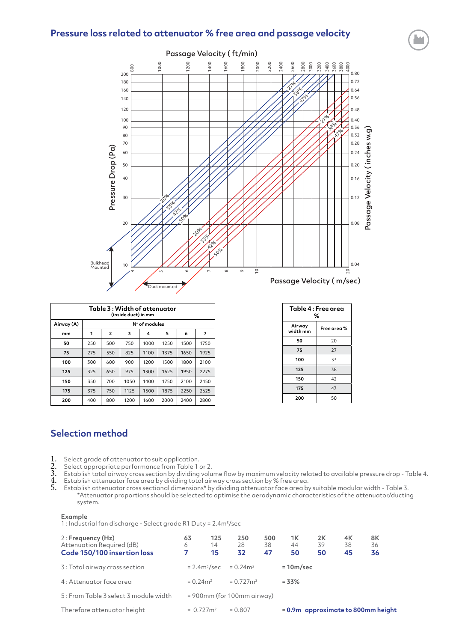## **Pressure loss related to attenuator % free area and passage velocity**



| Table 3 : Width of attenuator<br>(inside duct) in mm |               |     |      |      |      |      |      |  |  |
|------------------------------------------------------|---------------|-----|------|------|------|------|------|--|--|
| Airway (A)                                           | N° of modules |     |      |      |      |      |      |  |  |
| mm                                                   | 1             | 2   | 3    | 4    | 5    | 6    | 7    |  |  |
| 50                                                   | 250           | 500 | 750  | 1000 | 1250 | 1500 | 1750 |  |  |
| 75                                                   | 275           | 550 | 825  | 1100 | 1375 | 1650 | 1925 |  |  |
| 100                                                  | 300           | 600 | 900  | 1200 | 1500 | 1800 | 2100 |  |  |
| 125                                                  | 325           | 650 | 975  | 1300 | 1625 | 1950 | 2275 |  |  |
| 150                                                  | 350           | 700 | 1050 | 1400 | 1750 | 2100 | 2450 |  |  |
| 175                                                  | 375           | 750 | 1125 | 1500 | 1875 | 2250 | 2625 |  |  |
| 200                                                  | 400           | 800 | 1200 | 1600 | 2000 | 2400 | 2800 |  |  |

| Table 4 : Free area<br>% |             |  |  |  |  |
|--------------------------|-------------|--|--|--|--|
| Airway<br>width mm       | Free area % |  |  |  |  |
| 50                       | 20          |  |  |  |  |
| 75                       | 27          |  |  |  |  |
| 100                      | 33          |  |  |  |  |
| 125                      | 38          |  |  |  |  |
| 150                      | 42          |  |  |  |  |
| 175                      | 47          |  |  |  |  |
| 200                      | 50          |  |  |  |  |

## **Selection method**

- 1. Select grade of attenuator to suit application.<br>
2. Select appropriate performance from Table 1<br>
3. Establish total airway cross section by dividing
- Select appropriate performance from Table 1 or 2.
- Establish total airway cross section by dividing volume flow by maximum velocity related to available pressure drop Table 4. 4. Establish attenuator face area by dividing total airway cross section by % free area.
- 5. Establish attenuator cross sectional dimensions\* by dividing attenuator face area by suitable modular width Table 3. \*Attenuator proportions should be selected to optimise the aerodynamic characteristics of the attenuator/ducting system.

#### **Example**

1 : Industrial fan discharge - Select grade R1 Duty = 2.4m<sup>3</sup>/sec

| 2: Frequency (Hz)<br>Attenuation Required (dB)<br>Code 150/100 insertion loss | 63<br>6<br>7             | 125<br>14<br>15 | 250<br>28<br>32               | 500<br>38<br>47 | 1Κ<br>44<br>50 | 2K<br>39<br>50 | 4K<br>38<br>45 | 8K<br>36<br>36                     |  |
|-------------------------------------------------------------------------------|--------------------------|-----------------|-------------------------------|-----------------|----------------|----------------|----------------|------------------------------------|--|
| 3 : Total airway cross section                                                |                          | $= 2.4 m3/sec$  | $= 0.24$ m <sup>2</sup>       |                 | $=10m/sec$     |                |                |                                    |  |
| 4 : Attenuator face area                                                      | $= 0.24$ m <sup>2</sup>  |                 | $= 0.727$ m <sup>2</sup>      |                 | $= 33%$        |                |                |                                    |  |
| 5 : From Table 3 select 3 module width                                        |                          |                 | $= 900$ mm (for 100mm airway) |                 |                |                |                |                                    |  |
| Therefore attenuator height                                                   | $= 0.727$ m <sup>2</sup> |                 | $= 0.807$                     |                 |                |                |                | = 0.9m approximate to 800mm height |  |